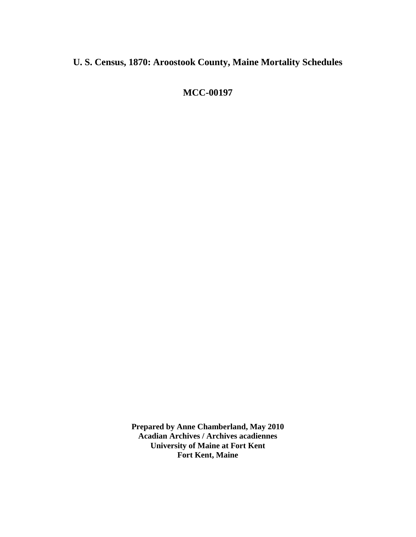## **U. S. Census, 1870: Aroostook County, Maine Mortality Schedules**

**MCC-00197**

**Prepared by Anne Chamberland, May 2010 Acadian Archives / Archives acadiennes University of Maine at Fort Kent Fort Kent, Maine**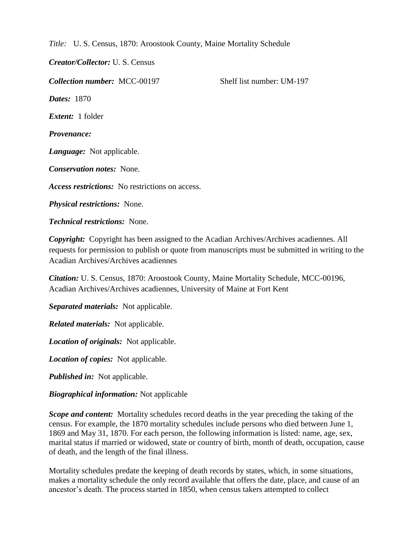*Title:* U. S. Census, 1870: Aroostook County, Maine Mortality Schedule

*Creator/Collector:* U. S. Census

*Collection number:* MCC-00197 Shelf list number: UM-197 *Dates:* 1870 *Extent:* 1 folder *Provenance: Language:* Not applicable. *Conservation notes:* None. *Access restrictions:* No restrictions on access. *Physical restrictions:* None. *Technical restrictions:* None.

*Copyright:* Copyright has been assigned to the Acadian Archives/Archives acadiennes. All requests for permission to publish or quote from manuscripts must be submitted in writing to the Acadian Archives/Archives acadiennes

*Citation:* U. S. Census, 1870: Aroostook County, Maine Mortality Schedule, MCC-00196, Acadian Archives/Archives acadiennes, University of Maine at Fort Kent

*Separated materials:* Not applicable.

*Related materials:* Not applicable.

*Location of originals:* Not applicable.

*Location of copies:* Not applicable.

*Published in:* Not applicable.

*Biographical information:* Not applicable

*Scope and content:* Mortality schedules record deaths in the year preceding the taking of the census. For example, the 1870 mortality schedules include persons who died between June 1, 1869 and May 31, 1870. For each person, the following information is listed: name, age, sex, marital status if married or widowed, state or country of birth, month of death, occupation, cause of death, and the length of the final illness.

Mortality schedules predate the keeping of death records by states, which, in some situations, makes a mortality schedule the only record available that offers the date, place, and cause of an ancestor's death. The process started in 1850, when census takers attempted to collect